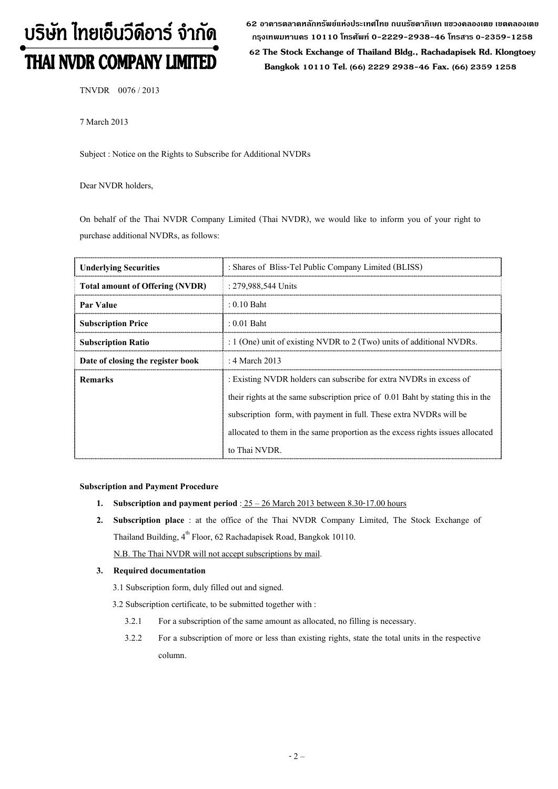# บริษัท ไทยเอ็นวีดีอาร์ จำกัด THAI NVDR COMPANY LIMITED

62 อาดารตลาดหลักทรัพย์แห่งประเทศไทย ถนนรัซดาภิเษก แขวงดลองเตย เขตดลองเตย **ก"# 10110 & 0-2229-2938-46 &, 0-2359-1258**

 **62 The Stock Exchange of Thailand Bldg., Rachadapisek Rd. Klongtoey Bangkok 10110 Tel. (66) 2229 2938-46 Fax. (66) 2359 1258**

TNVDR 0076 / 2013

7 March 2013

Subject : Notice on the Rights to Subscribe for Additional NVDRs

Dear NVDR holders,

On behalf of the Thai NVDR Company Limited (Thai NVDR), we would like to inform you of your right to purchase additional NVDRs, as follows:

| <b>Underlying Securities</b>           | : Shares of Bliss-Tel Public Company Limited (BLISS)                            |
|----------------------------------------|---------------------------------------------------------------------------------|
| <b>Total amount of Offering (NVDR)</b> | : 279,988,544 Units                                                             |
| Par Value                              | $: 0.10$ Baht                                                                   |
| <b>Subscription Price</b>              | $: 0.01$ Baht                                                                   |
| <b>Subscription Ratio</b>              | : $1$ (One) unit of existing NVDR to $2$ (Two) units of additional NVDRs.       |
| Date of closing the register book      | : 4 March 2013                                                                  |
| <b>Remarks</b>                         | : Existing NVDR holders can subscribe for extra NVDRs in excess of              |
|                                        | their rights at the same subscription price of 0.01 Baht by stating this in the |
|                                        | subscription form, with payment in full. These extra NVDRs will be              |
|                                        | allocated to them in the same proportion as the excess rights issues allocated  |
|                                        | to Thai NVDR.                                                                   |

#### **Subscription and Payment Procedure**

- **1.** Subscription and payment period :  $25 26$  March 2013 between 8.30-17.00 hours
- **2. Subscription place** : at the office of the Thai NVDR Company Limited, The Stock Exchange of Thailand Building, 4<sup>th</sup> Floor, 62 Rachadapisek Road, Bangkok 10110.

N.B. The Thai NVDR will not accept subscriptions by mail.

## **3. Required documentation**

3.1 Subscription form, duly filled out and signed.

- 3.2 Subscription certificate, to be submitted together with :
	- 3.2.1 For a subscription of the same amount as allocated, no filling is necessary.
	- 3.2.2 For a subscription of more or less than existing rights, state the total units in the respective column.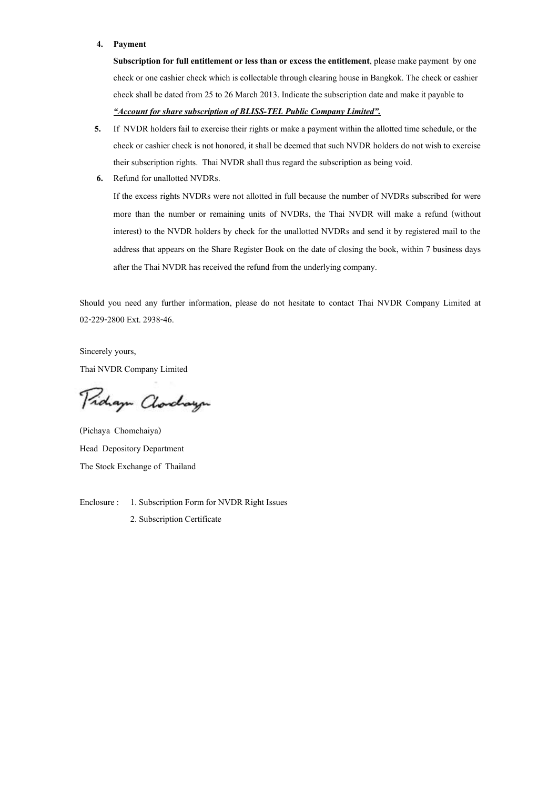#### **4. Payment**

**Subscription for full entitlement or less than or excess the entitlement**, please make payment by one check or one cashier check which is collectable through clearing house in Bangkok. The check or cashier check shall be dated from 25 to 26 March 2013. Indicate the subscription date and make it payable to *-Account for share subscription of BLISS-TEL Public Company Limited.*

- **5.** If NVDR holders fail to exercise their rights or make a payment within the allotted time schedule, or the check or cashier check is not honored, it shall be deemed that such NVDR holders do not wish to exercise their subscription rights. Thai NVDR shall thus regard the subscription as being void.
- **6.** Refund for unallotted NVDRs.

If the excess rights NVDRs were not allotted in full because the number of NVDRs subscribed for were more than the number or remaining units of NVDRs, the Thai NVDR will make a refund (without interest) to the NVDR holders by check for the unallotted NVDRs and send it by registered mail to the address that appears on the Share Register Book on the date of closing the book, within 7 business days after the Thai NVDR has received the refund from the underlying company.

Should you need any further information, please do not hesitate to contact Thai NVDR Company Limited at 02-229-2800 Ext. 2938-46.

Sincerely yours, Thai NVDR Company Limited

Proham Clorchayn

(Pichaya Chomchaiya) Head Depository Department The Stock Exchange of Thailand

Enclosure : 1. Subscription Form for NVDR Right Issues 2. Subscription Certificate